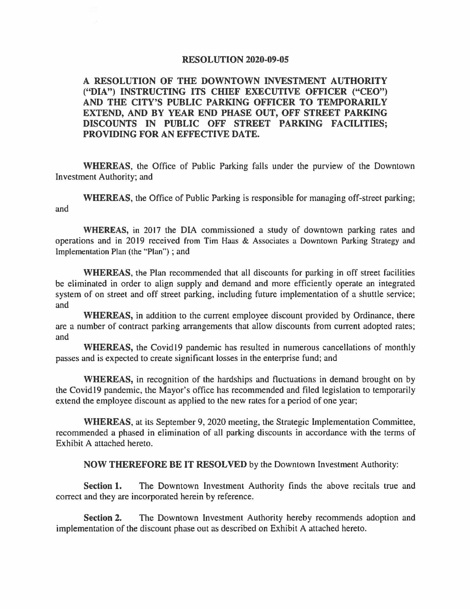## **RESOLUTION 2020-09-05**

## **A RESOLUTION OF THE DOWNTOWN INVESTMENT AUTHORITY ("DIA") INSTRUCTING ITS CHIEF EXECUTIVE OFFICER ("CEO") AND THE CITY'S PUBLIC PARKING OFFICER TO TEMPORARILY EXTEND, AND BY YEAR END PHASE OUT, OFF STREET PARKING DISCOUNTS IN PUBLIC OFF STREET PARKING FACILITIES; PROVIDING FOR AN EFFECTIVE DATE.**

**WHEREAS,** the Office of Public Parking falls under the purview of the Downtown Investment Authority; and

**WHEREAS,** the Office of Public Parking is responsible for managing off-street parking; and

**WHEREAS,** in 2017 the DIA commissioned a study of downtown parking rates and operations and in 2019 received from Tim Haas & Associates a Downtown Parking Strategy and Implementation Plan (the "Plan") ; and

**WHEREAS,** the Plan recommended that all discounts for parking in off street facilities be eliminated in order to align supply and demand and more efficiently operate an integrated system of on street and off street parking, including future implementation of a shuttle service; and

**WHEREAS,** in addition to the current employee discount provided by Ordinance, there are a number of contract parking arrangements that allow discounts from current adopted rates; and

WHEREAS, the Covid 19 pandemic has resulted in numerous cancellations of monthly passes and is expected to create significant losses in the enterprise fund; and

**WHEREAS,** in recognition of the hardships and fluctuations in demand brought on by the Covidl9 pandemic, the Mayor's office has recommended and filed legislation to temporarily extend the employee discount as applied to the new rates for a period of one year;

**WHEREAS,** at its September 9, 2020 meeting, the Strategic Implementation Committee, recommended a phased in elimination of all parking discounts in accordance with the terms of Exhibit A attached hereto.

**NOW THEREFORE BE IT RESOLVED** by the Downtown Investment Authority:

**Section 1.** The Downtown Investment Authority finds the above recitals true and correct and they are incorporated herein by reference.

**Section 2.** The Downtown Investment Authority hereby recommends adoption and implementation of the discount phase out as described on Exhibit A attached hereto.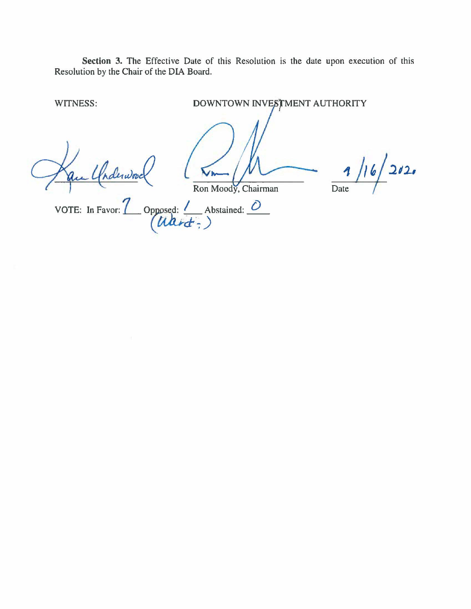Section 3. The Effective Date of this Resolution is the date upon execution of this Resolution by the Chair of the DIA Board.

WITNESS:

DOWNTOWN INVESTMENT AUTHORITY

in Chairmond

Ron Moody, Chairman

 $\frac{1}{6}$  2020  $\overline{\mathbf{A}}$  $\overline{Date}$ 

VOTE: In Favor:  $\frac{7}{(Mark)^2}$  Opposed:  $\frac{7}{(Mark)^2}$  Abstained:  $\frac{7}{(Mark)^2}$